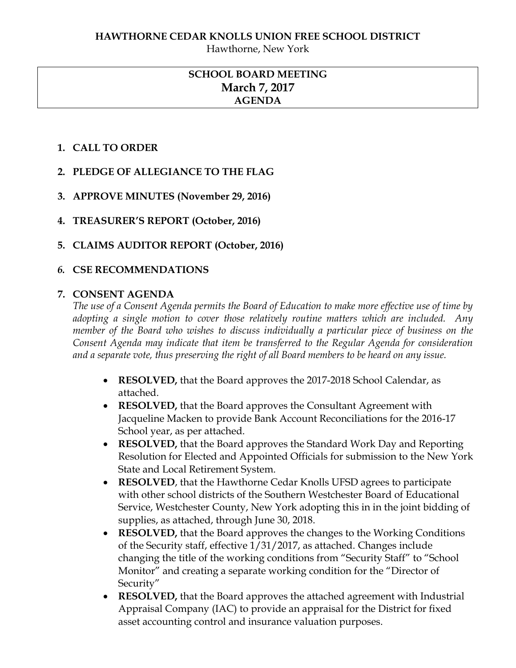Hawthorne, New York

# **SCHOOL BOARD MEETING March 7, 2017 AGENDA**

### **1. CALL TO ORDER**

- **2. PLEDGE OF ALLEGIANCE TO THE FLAG**
- **3. APPROVE MINUTES (November 29, 2016)**
- **4. TREASURER'S REPORT (October, 2016)**
- **5. CLAIMS AUDITOR REPORT (October, 2016)**

# *6.* **CSE RECOMMENDATIONS**

## **7. CONSENT AGENDA**

*The use of a Consent Agenda permits the Board of Education to make more effective use of time by adopting a single motion to cover those relatively routine matters which are included. Any member of the Board who wishes to discuss individually a particular piece of business on the Consent Agenda may indicate that item be transferred to the Regular Agenda for consideration and a separate vote, thus preserving the right of all Board members to be heard on any issue.* 

- **RESOLVED,** that the Board approves the 2017-2018 School Calendar, as attached.
- **RESOLVED,** that the Board approves the Consultant Agreement with Jacqueline Macken to provide Bank Account Reconciliations for the 2016-17 School year, as per attached.
- **RESOLVED,** that the Board approves the Standard Work Day and Reporting Resolution for Elected and Appointed Officials for submission to the New York State and Local Retirement System.
- **RESOLVED**, that the Hawthorne Cedar Knolls UFSD agrees to participate with other school districts of the Southern Westchester Board of Educational Service, Westchester County, New York adopting this in in the joint bidding of supplies, as attached, through June 30, 2018.
- **RESOLVED,** that the Board approves the changes to the Working Conditions of the Security staff, effective 1/31/2017, as attached. Changes include changing the title of the working conditions from "Security Staff" to "School Monitor" and creating a separate working condition for the "Director of Security"
- **RESOLVED,** that the Board approves the attached agreement with Industrial Appraisal Company (IAC) to provide an appraisal for the District for fixed asset accounting control and insurance valuation purposes.